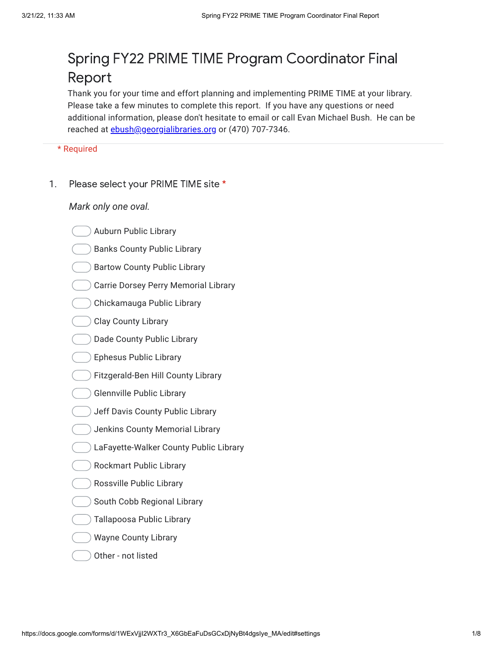## Spring FY22 PRIME TIME Program Coordinator Final Report

Thank you for your time and effort planning and implementing PRIME TIME at your library. Please take a few minutes to complete this report. If you have any questions or need additional information, please don't hesitate to email or call Evan Michael Bush. He can be reached at [ebush@georgialibraries.org](mailto:ebush@georgialibraries.org) or (470) 707-7346.

\* Required

1. Please select your PRIME TIME site \*

- Auburn Public Library
- Banks County Public Library
- Bartow County Public Library
- Carrie Dorsey Perry Memorial Library
- Chickamauga Public Library
- Clay County Library
- Dade County Public Library
- **Ephesus Public Library**
- Fitzgerald-Ben Hill County Library
- Glennville Public Library
- Jeff Davis County Public Library
- Jenkins County Memorial Library
- LaFayette-Walker County Public Library
- Rockmart Public Library
- Rossville Public Library
- South Cobb Regional Library
- Tallapoosa Public Library
- Wayne County Library
- Other not listed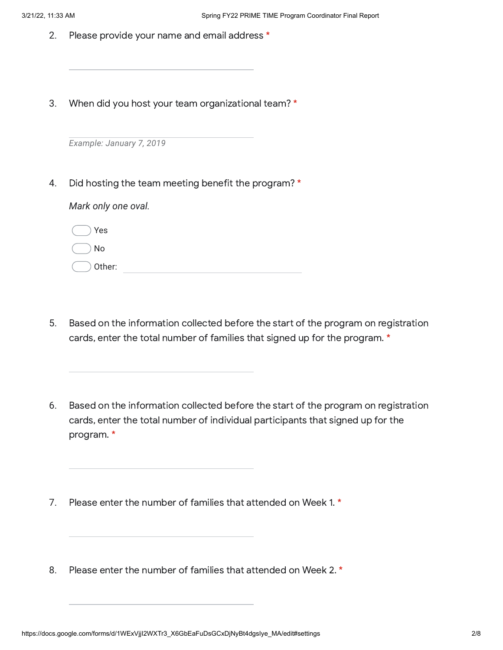- 2. Please provide your name and email address \*
- 3. When did you host your team organizational team? \*

*Example: January 7, 2019*

4. Did hosting the team meeting benefit the program? \*

| $\cup$ Yes        |  |  |
|-------------------|--|--|
| $( )$ No          |  |  |
| $\bigcirc$ other: |  |  |

- 5. Based on the information collected before the start of the program on registration cards, enter the total number of families that signed up for the program. \*
- 6. Based on the information collected before the start of the program on registration cards, enter the total number of individual participants that signed up for the program. \*
- 7. Please enter the number of families that attended on Week 1. \*
- 8. Please enter the number of families that attended on Week 2. \*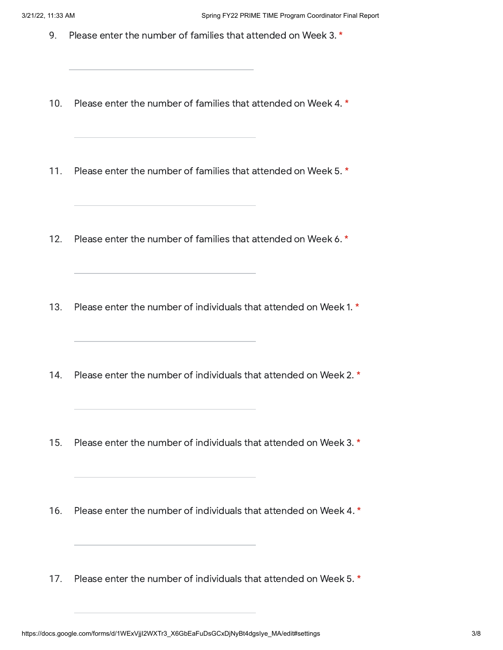- 9. Please enter the number of families that attended on Week 3. $*$
- 10. Please enter the number of families that attended on Week 4. \*
- 11. Please enter the number of families that attended on Week 5. \*

<u> 1980 - Johann Barbara, martxa alemaniar amerikan personal (h. 1980).</u>

- 12. Please enter the number of families that attended on Week 6. \*
- 13. Please enter the number of individuals that attended on Week 1. \*
- 14. Please enter the number of individuals that attended on Week 2. \*
- 15. Please enter the number of individuals that attended on Week 3. \*
- 16. Please enter the number of individuals that attended on Week 4. \*
- 17. Please enter the number of individuals that attended on Week 5. \*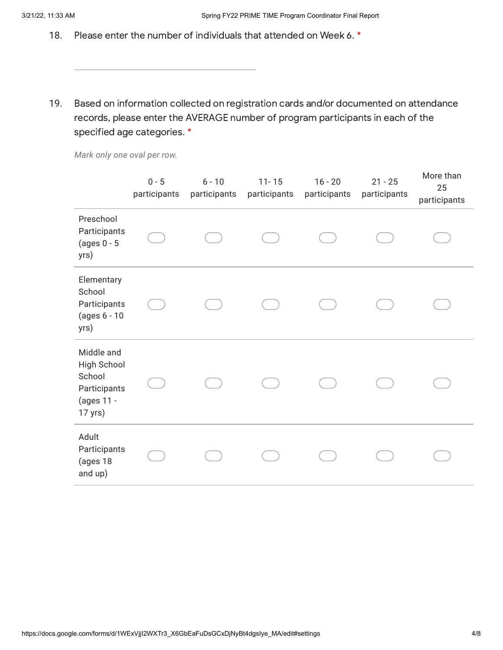- 18. Please enter the number of individuals that attended on Week 6. \*
- 19. Based on information collected on registration cards and/or documented on attendance records, please enter the AVERAGE number of program participants in each of the specified age categories. \*

*Mark only one oval per row.*

|                                                                              | $0 - 5$<br>participants | $6 - 10$<br>participants | $11 - 15$<br>participants | $16 - 20$<br>participants | $21 - 25$<br>participants | More than<br>25<br>participants |
|------------------------------------------------------------------------------|-------------------------|--------------------------|---------------------------|---------------------------|---------------------------|---------------------------------|
| Preschool<br>Participants<br>(ages $0 - 5$<br>yrs)                           |                         |                          |                           |                           |                           |                                 |
| Elementary<br>School<br>Participants<br>(ages 6 - 10<br>yrs)                 |                         |                          |                           |                           |                           |                                 |
| Middle and<br>High School<br>School<br>Participants<br>(ages 11 -<br>17 yrs) |                         |                          |                           |                           |                           |                                 |
| Adult<br>Participants<br>(ages 18<br>and up)                                 |                         |                          |                           |                           |                           |                                 |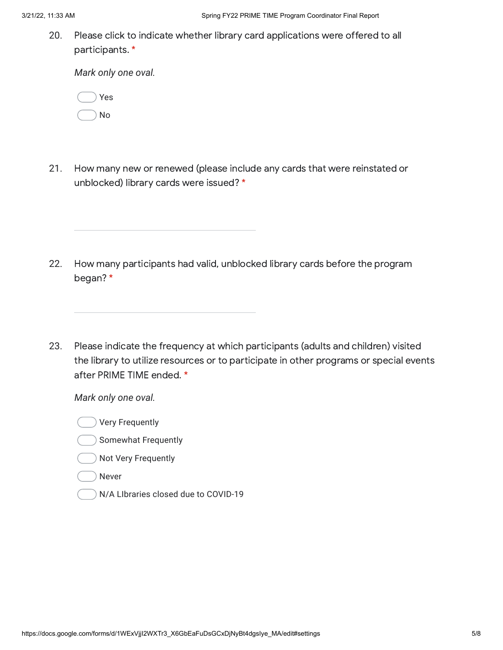20. Please click to indicate whether library card applications were offered to all participants. \*

*Mark only one oval.*

|  | Yes |
|--|-----|
|  | No  |

21. How many new or renewed (please include any cards that were reinstated or unblocked) library cards were issued? \*

- 22. How many participants had valid, unblocked library cards before the program began? \*
- 23. Please indicate the frequency at which participants (adults and children) visited the library to utilize resources or to participate in other programs or special events after PRIME TIME ended. \*

- Very Frequently
- Somewhat Frequently
- Not Very Frequently
- Never
- N/A LIbraries closed due to COVID-19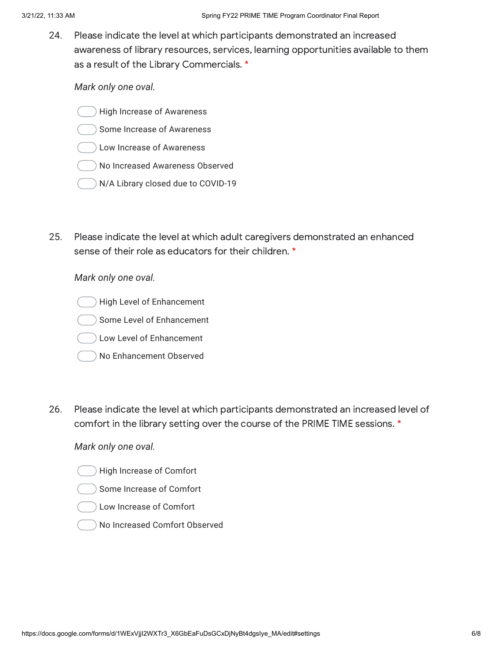24. Please indicate the level at which participants demonstrated an increased awareness of library resources, services, learning opportunities available to them as a result of the Library Commercials. \*

*Mark only one oval.*

- High Increase of Awareness
- Some Increase of Awareness
- Low Increase of Awareness
- No Increased Awareness Observed
- N/A Library closed due to COVID-19
- 25. Please indicate the level at which adult caregivers demonstrated an enhanced sense of their role as educators for their children. \*

*Mark only one oval.*

- High Level of Enhancement
- Some Level of Enhancement
- Low Level of Enhancement
- No Enhancement Observed
- 26. Please indicate the level at which participants demonstrated an increased level of comfort in the library setting over the course of the PRIME TIME sessions. \*

- High Increase of Comfort
- Some Increase of Comfort
- Low Increase of Comfort
- No Increased Comfort Observed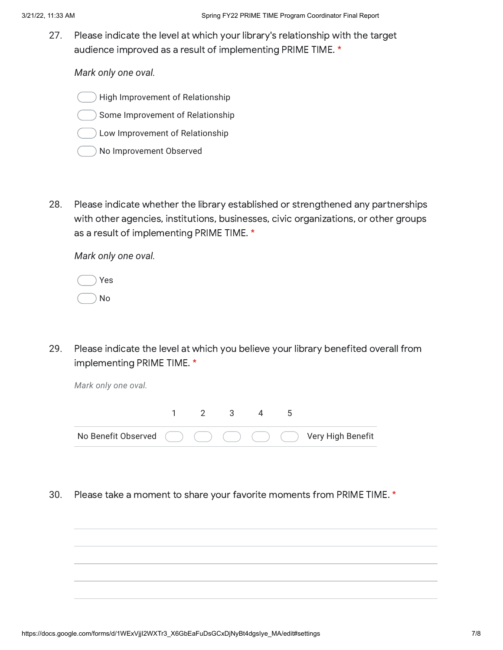27. Please indicate the level at which your library's relationship with the target audience improved as a result of implementing PRIME TIME. \*

*Mark only one oval.*

- High Improvement of Relationship
- Some Improvement of Relationship
- Low Improvement of Relationship
- No Improvement Observed
- 28. Please indicate whether the library established or strengthened any partnerships with other agencies, institutions, businesses, civic organizations, or other groups as a result of implementing PRIME TIME. \*

*Mark only one oval.*

|  | Yes |
|--|-----|
|  | No  |

29. Please indicate the level at which you believe your library benefited overall from implementing PRIME TIME. \*

*Mark only one oval.*



30. Please take a moment to share your favorite moments from PRIME TIME. \*